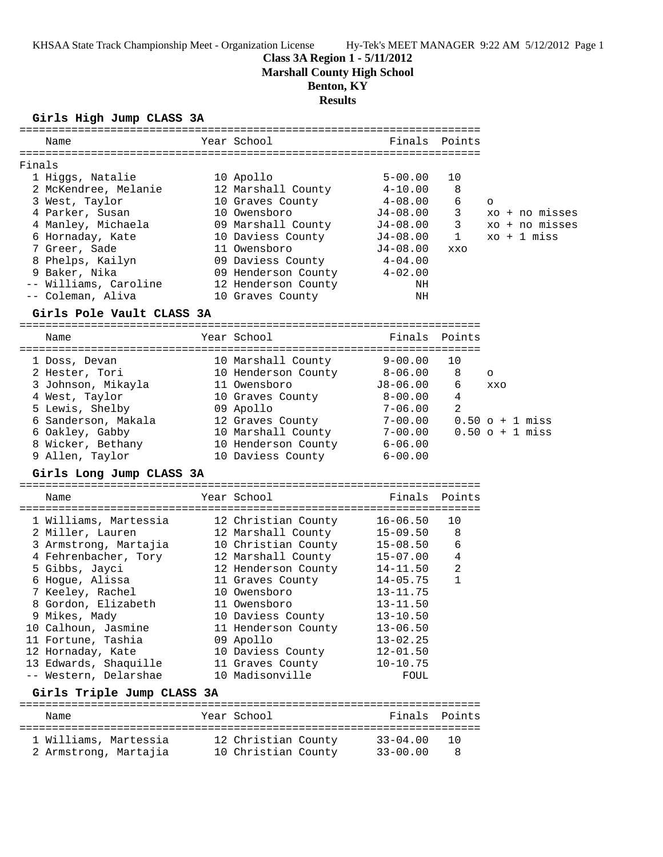**Class 3A Region 1 - 5/11/2012**

**Marshall County High School**

## **Benton, KY**

**Results**

#### **Girls High Jump CLASS 3A**

| Name                                           | Year School         | Finals                       | Points         |                       |
|------------------------------------------------|---------------------|------------------------------|----------------|-----------------------|
|                                                |                     |                              |                |                       |
| Finals                                         |                     |                              |                |                       |
| 1 Higgs, Natalie                               | 10 Apollo           | $5 - 00.00$                  | 10             |                       |
| 2 McKendree, Melanie                           | 12 Marshall County  | 4-10.00                      | 8              |                       |
| 3 West, Taylor                                 | 10 Graves County    | 4-08.00                      | 6              | $\circ$               |
| 4 Parker, Susan                                | 10 Owensboro        | $J4-08.00$                   | 3              | xo + no misses        |
| 4 Manley, Michaela                             | 09 Marshall County  | J4-08.00                     | 3              | xo + no misses        |
| 6 Hornaday, Kate                               | 10 Daviess County   | $J4-08.00$                   | $\mathbf{1}$   | $xo + 1 miss$         |
| 7 Greer, Sade                                  | 11 Owensboro        | $J4-08.00$                   | XXO            |                       |
| 8 Phelps, Kailyn                               | 09 Daviess County   | $4 - 04.00$                  |                |                       |
| 9 Baker, Nika                                  | 09 Henderson County | $4 - 02.00$                  |                |                       |
| -- Williams, Caroline                          | 12 Henderson County | NH                           |                |                       |
| -- Coleman, Aliva                              | 10 Graves County    | NH                           |                |                       |
| Girls Pole Vault CLASS 3A                      |                     |                              |                |                       |
| Name                                           | Year School         | Finals                       | Points         |                       |
|                                                |                     |                              |                |                       |
| 1 Doss, Devan                                  | 10 Marshall County  | $9 - 00.00$                  | 10             |                       |
| 2 Hester, Tori                                 | 10 Henderson County | $8 - 06.00$                  | 8              | $\circ$               |
| 3 Johnson, Mikayla                             | 11 Owensboro        | $J8 - 06.00$                 | 6              | XXO                   |
| 4 West, Taylor                                 | 10 Graves County    | $8-00.00$                    | 4              |                       |
| 5 Lewis, Shelby                                | 09 Apollo           | 7-06.00                      | 2              |                       |
| 6 Sanderson, Makala                            | 12 Graves County    | $7 - 00.00$                  |                | $0.50 \circ + 1$ miss |
| 6 Oakley, Gabby                                | 10 Marshall County  | $7 - 00.00$                  |                | $0.50 \circ + 1$ miss |
| 8 Wicker, Bethany                              | 10 Henderson County | $6 - 06.00$                  |                |                       |
| 9 Allen, Taylor                                | 10 Daviess County   | $6 - 00.00$                  |                |                       |
| Girls Long Jump CLASS 3A                       |                     |                              |                |                       |
| Name                                           | Year School         | Finals                       | Points         |                       |
|                                                |                     |                              |                |                       |
| 1 Williams, Martessia                          | 12 Christian County | $16 - 06.50$                 | 10             |                       |
| 2 Miller, Lauren                               | 12 Marshall County  | $15 - 09.50$                 | 8              |                       |
| 3 Armstrong, Martajia                          | 10 Christian County | $15 - 08.50$                 | 6              |                       |
| 4 Fehrenbacher, Tory                           | 12 Marshall County  | $15 - 07.00$                 | 4              |                       |
| 5 Gibbs, Jayci                                 | 12 Henderson County | 14-11.50                     | $\overline{a}$ |                       |
| 6 Hogue, Alissa                                | 11 Graves County    | $14 - 05.75$                 | $\mathbf{1}$   |                       |
| 7 Keeley, Rachel                               | 10 Owensboro        | $13 - 11.75$                 |                |                       |
| 8 Gordon, Elizabeth                            | 11 Owensboro        | $13 - 11.50$                 |                |                       |
| 9 Mikes, Mady                                  | 10 Daviess County   | $13 - 10.50$                 |                |                       |
| 10 Calhoun, Jasmine                            | 11 Henderson County | $13 - 06.50$                 |                |                       |
| 11 Fortune, Tashia                             | 09 Apollo           | $13 - 02.25$                 |                |                       |
| 12 Hornaday, Kate                              | 10 Daviess County   | $12 - 01.50$                 |                |                       |
| 13 Edwards, Shaquille                          | 11 Graves County    | $10 - 10.75$                 |                |                       |
| -- Western, Delarshae                          | 10 Madisonville     | FOUL                         |                |                       |
| Girls Triple Jump CLASS 3A                     |                     |                              |                |                       |
| Name                                           | Year School         | Finals                       | Points         |                       |
|                                                |                     |                              |                |                       |
| 1 Williams, Martessia<br>2 Armstrong, Martajia | 12 Christian County | $33 - 04.00$<br>$33 - 00.00$ | 10<br>8        |                       |
|                                                | 10 Christian County |                              |                |                       |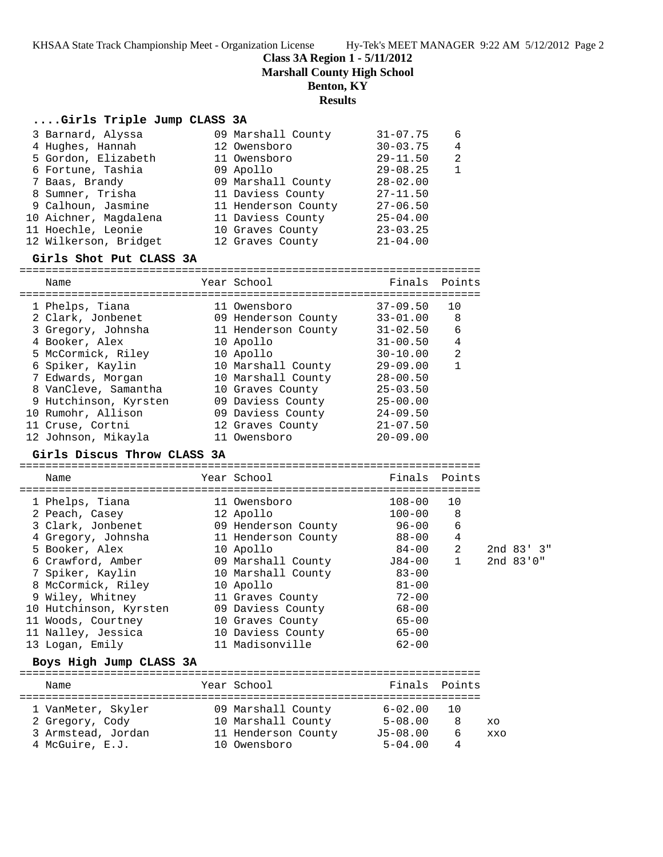**Class 3A Region 1 - 5/11/2012**

**Marshall County High School**

#### **Benton, KY**

#### **Results**

#### **....Girls Triple Jump CLASS 3A**

| 3 Barnard, Alyssa<br>4 Hughes, Hannah<br>5 Gordon, Elizabeth<br>6 Fortune, Tashia<br>7 Baas, Brandy<br>8 Sumner, Trisha<br>9 Calhoun, Jasmine 11 Henderson County<br>10 Aichner, Magdalena<br>11 Hoechle, Leonie<br>12 Wilkerson, Bridget<br>Girls Shot Put CLASS 3A | 09 Marshall County<br>12 Owensboro<br>11 Owensboro<br>09 Apollo<br>09 Marshall County<br>11 Daviess County<br>11 Daviess County<br>10 Graves County<br>12 Graves County | $31 - 07.75$<br>$30 - 03.75$<br>$29 - 11.50$<br>$29 - 08.25$<br>$28 - 02.00$<br>$27 - 11.50$<br>$27 - 06.50$<br>$25 - 04.00$<br>$23 - 03.25$<br>$21 - 04.00$ | 6<br>4<br>2<br>$\mathbf{1}$ |
|----------------------------------------------------------------------------------------------------------------------------------------------------------------------------------------------------------------------------------------------------------------------|-------------------------------------------------------------------------------------------------------------------------------------------------------------------------|--------------------------------------------------------------------------------------------------------------------------------------------------------------|-----------------------------|
| Name                                                                                                                                                                                                                                                                 | Year School                                                                                                                                                             | Finals Points                                                                                                                                                |                             |
|                                                                                                                                                                                                                                                                      |                                                                                                                                                                         |                                                                                                                                                              |                             |
| 1 Phelps, Tiana                                                                                                                                                                                                                                                      | 11 Owensboro                                                                                                                                                            | 37-09.50                                                                                                                                                     | 10                          |
| 2 Clark, Jonbenet 69 Henderson County                                                                                                                                                                                                                                |                                                                                                                                                                         | 33-01.00                                                                                                                                                     | 8                           |
|                                                                                                                                                                                                                                                                      |                                                                                                                                                                         | $31 - 02.50$                                                                                                                                                 | 6                           |
| 4 Booker, Alex<br>10 Apollo                                                                                                                                                                                                                                          |                                                                                                                                                                         | $31 - 00.50$                                                                                                                                                 | $\overline{4}$              |
| 5 McCormick, Riley 10 Apollo                                                                                                                                                                                                                                         |                                                                                                                                                                         | 30-10.00                                                                                                                                                     | 2                           |
| 6 Spiker, Kaylin                                                                                                                                                                                                                                                     | 10 Marshall County                                                                                                                                                      | 29-09.00                                                                                                                                                     | $\mathbf{1}$                |
| 7 Edwards, Morgan                       10 Marshall County                                                                                                                                                                                                           |                                                                                                                                                                         | $28 - 00.50$                                                                                                                                                 |                             |
|                                                                                                                                                                                                                                                                      |                                                                                                                                                                         |                                                                                                                                                              |                             |
| 8 VanCleve, Samantha 10 Graves County                                                                                                                                                                                                                                |                                                                                                                                                                         | $25 - 03.50$                                                                                                                                                 |                             |
| 9 Hutchinson, Kyrsten       09 Daviess County                                                                                                                                                                                                                        |                                                                                                                                                                         | $25 - 00.00$                                                                                                                                                 |                             |
| 10 Rumohr, Allison                                                                                                                                                                                                                                                   | 09 Daviess County                                                                                                                                                       | $24 - 09.50$                                                                                                                                                 |                             |
| 11 Cruse, Cortni                                                                                                                                                                                                                                                     | 12 Graves County                                                                                                                                                        | $21 - 07.50$                                                                                                                                                 |                             |
| 12 Johnson, Mikayla                                                                                                                                                                                                                                                  | 11 Owensboro                                                                                                                                                            | $20 - 09.00$                                                                                                                                                 |                             |

#### ======================================================================= Name Year School ======================================================================= 1 Phelps, Tiana 11 Owensboro 108-00 10 2 Peach, Casey 12 Apollo 100-00 8 3 Clark, Jonbenet 09 Henderson County 96-00 6 4 Gregory, Johnsha 11 Henderson County 88-00 4 5 Booker, Alex 10 Apollo 84-00 2 2nd 83' 3" 6 Crawford, Amber 09 Marshall County J84-00 1 2nd 83'0" 7 Spiker, Kaylin 10 Marshall County 83-00 8 McCormick, Riley 10 Apollo 81-00 9 Wiley, Whitney 11 Graves County 72-00 10 Hutchinson, Kyrsten 09 Daviess County 68-00 11 Woods, Courtney 10 Graves County 65-00 11 Nalley, Jessica 10 Daviess County 65-00 13 Logan, Emily 11 Madisonville 62-00

#### **Boys High Jump CLASS 3A**

|  | Name               |  | Year School         | Finals Points |    |            |  |  |  |
|--|--------------------|--|---------------------|---------------|----|------------|--|--|--|
|  | 1 VanMeter, Skyler |  | 09 Marshall County  | $6 - 02.00$   | 10 |            |  |  |  |
|  | 2 Gregory, Cody    |  | 10 Marshall County  | $5 - 08.00$   | 8  | XO         |  |  |  |
|  | 3 Armstead, Jordan |  | 11 Henderson County | $J5 - 08.00$  | 6  | <b>XXO</b> |  |  |  |
|  | 4 McGuire, E.J.    |  | 10 Owensboro        | $5 - 04.00$   |    |            |  |  |  |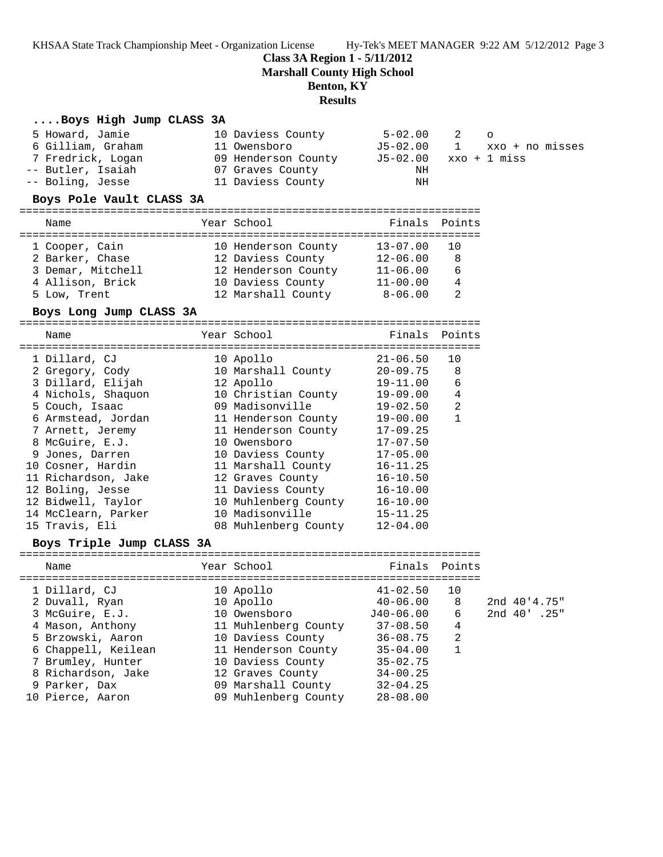**Class 3A Region 1 - 5/11/2012**

**Marshall County High School**

#### **Benton, KY**

### **Results**

#### **....Boys High Jump CLASS 3A**

| 5 Howard, Jamie   | 10 Daviess County   | 5-02.00                 | 2 | $\overline{a}$                 |
|-------------------|---------------------|-------------------------|---|--------------------------------|
| 6 Gilliam, Graham | 11 Owensboro        |                         |   | $J5-02.00$ 1 $xxo + no$ misses |
| 7 Fredrick, Logan | 09 Henderson County | $J5-02.00$ xxo + 1 miss |   |                                |
| -- Butler, Isaiah | 07 Graves County    | ΝH                      |   |                                |
| -- Boling, Jesse  | 11 Daviess County   | ΝH                      |   |                                |

#### **Boys Pole Vault CLASS 3A**

| Name              | Year School         | Finals Points |                 |
|-------------------|---------------------|---------------|-----------------|
|                   |                     |               |                 |
| 1 Cooper, Cain    | 10 Henderson County | $13 - 07.00$  | $\overline{10}$ |
| 2 Barker, Chase   | 12 Daviess County   | $12 - 06.00$  | 8               |
| 3 Demar, Mitchell | 12 Henderson County | $11 - 06.00$  | 6               |
| 4 Allison, Brick  | 10 Daviess County   | $11 - 00.00$  | 4               |
| 5 Low, Trent      | 12 Marshall County  | $8 - 06.00$   | っ               |

#### **Boys Long Jump CLASS 3A**

| Name                | Year School          | Finals Points |                |
|---------------------|----------------------|---------------|----------------|
| 1 Dillard, CJ       | 10 Apollo            | $21 - 06.50$  | 10             |
| 2 Gregory, Cody     | 10 Marshall County   | 20-09.75      | -8             |
| 3 Dillard, Elijah   | 12 Apollo            | 19-11.00      | 6              |
|                     | 10 Christian County  | $19 - 09.00$  | 4              |
| 4 Nichols, Shaquon  |                      |               |                |
| 5 Couch, Isaac      | 09 Madisonville      | $19 - 02.50$  | $\mathfrak{D}$ |
| 6 Armstead, Jordan  | 11 Henderson County  | $19 - 00.00$  | 1              |
| 7 Arnett, Jeremy    | 11 Henderson County  | $17 - 09.25$  |                |
| 8 McGuire, E.J.     | 10 Owensboro         | $17 - 07.50$  |                |
| 9 Jones, Darren     | 10 Daviess County    | $17 - 05.00$  |                |
| 10 Cosner, Hardin   | 11 Marshall County   | $16 - 11.25$  |                |
| 11 Richardson, Jake | 12 Graves County     | $16 - 10.50$  |                |
| 12 Boling, Jesse    | 11 Daviess County    | $16 - 10.00$  |                |
| 12 Bidwell, Taylor  | 10 Muhlenberg County | $16 - 10.00$  |                |
| 14 McClearn, Parker | 10 Madisonville      | $15 - 11.25$  |                |
| 15 Travis, Eli      | 08 Muhlenberg County | $12 - 04.00$  |                |

#### **Boys Triple Jump CLASS 3A**

| Name                                                                                                | Year School                                                                                                | Finals Points                                                                |                        |                              |  |
|-----------------------------------------------------------------------------------------------------|------------------------------------------------------------------------------------------------------------|------------------------------------------------------------------------------|------------------------|------------------------------|--|
| 1 Dillard, CJ<br>2 Duvall, Ryan<br>3 McGuire, E.J.<br>4 Mason, Anthony<br>5 Brzowski, Aaron         | 10 Apollo<br>10 Apollo<br>10 Owensboro<br>11 Muhlenberg County<br>10 Daviess County                        | $41 - 02.50$<br>$40 - 06.00$<br>J40-06.00<br>$37 - 08.50$<br>$36 - 08.75$    | 10<br>8<br>6<br>4<br>2 | 2nd 40'4.75"<br>2nd 40' .25" |  |
| 6 Chappell, Keilean<br>7 Brumley, Hunter<br>8 Richardson, Jake<br>9 Parker, Dax<br>10 Pierce, Aaron | 11 Henderson County<br>10 Daviess County<br>12 Graves County<br>09 Marshall County<br>09 Muhlenberg County | $35 - 04.00$<br>$35 - 02.75$<br>$34 - 00.25$<br>$32 - 04.25$<br>$28 - 08.00$ |                        |                              |  |